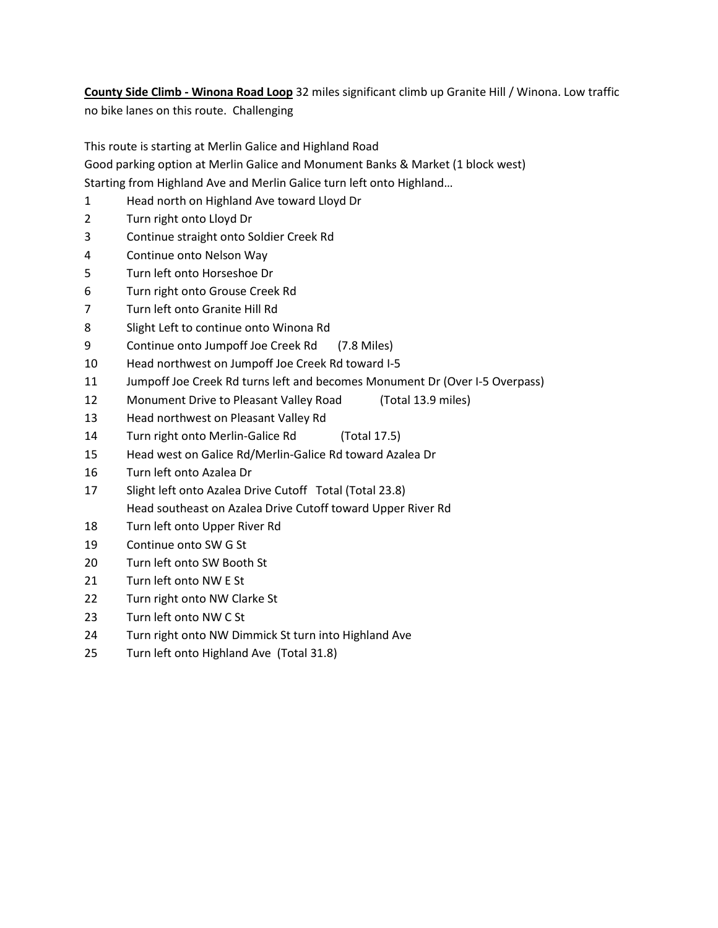**County Side Climb - Winona Road Loop** 32 miles significant climb up Granite Hill / Winona. Low traffic no bike lanes on this route. Challenging

This route is starting at Merlin Galice and Highland Road Good parking option at Merlin Galice and Monument Banks & Market (1 block west) Starting from Highland Ave and Merlin Galice turn left onto Highland…

- Head north on Highland Ave toward Lloyd Dr
- Turn right onto Lloyd Dr
- Continue straight onto Soldier Creek Rd
- Continue onto Nelson Way
- Turn left onto Horseshoe Dr
- Turn right onto Grouse Creek Rd
- Turn left onto Granite Hill Rd
- Slight Left to continue onto Winona Rd
- Continue onto Jumpoff Joe Creek Rd (7.8 Miles)
- Head northwest on Jumpoff Joe Creek Rd toward I-5
- Jumpoff Joe Creek Rd turns left and becomes Monument Dr (Over I-5 Overpass)
- Monument Drive to Pleasant Valley Road (Total 13.9 miles)
- Head northwest on Pleasant Valley Rd
- Turn right onto Merlin-Galice Rd (Total 17.5)
- Head west on Galice Rd/Merlin-Galice Rd toward Azalea Dr
- Turn left onto Azalea Dr
- Slight left onto Azalea Drive Cutoff Total (Total 23.8) Head southeast on Azalea Drive Cutoff toward Upper River Rd
- Turn left onto Upper River Rd
- Continue onto SW G St
- Turn left onto SW Booth St
- Turn left onto NW E St
- Turn right onto NW Clarke St
- Turn left onto NW C St
- Turn right onto NW Dimmick St turn into Highland Ave
- Turn left onto Highland Ave (Total 31.8)